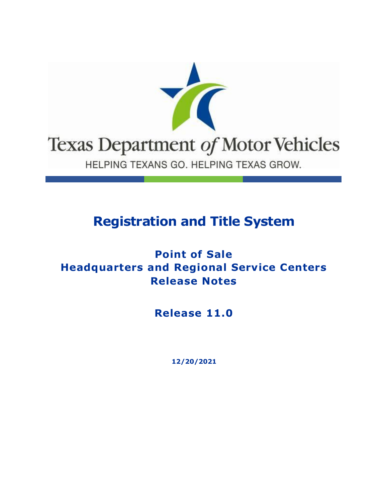

## **Registration and Title System**

### **Point of Sale Headquarters and Regional Service Centers Release Notes**

**Release 11.0**

**12/20/2021**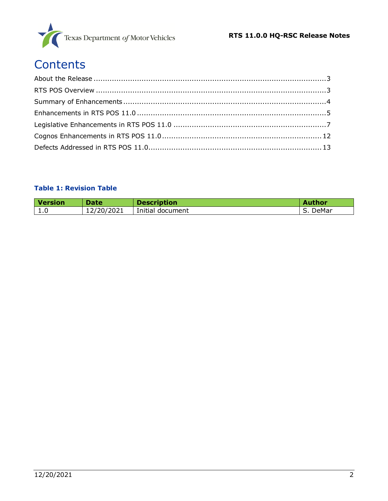

# **Contents**

#### **Table 1: Revision Table**

| Version | <b>Date</b> | <b>Description</b> | <b>Author</b> |
|---------|-------------|--------------------|---------------|
| 1.0     | 12/20/2021  | Initial document   | DeMar         |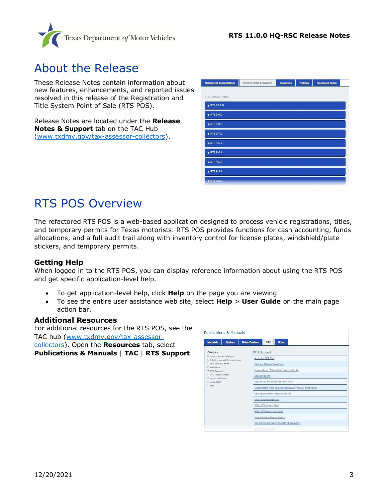

### <span id="page-2-0"></span>About the Release

These Release Notes contain information about new features, enhancements, and reported issues resolved in this release of the Registration and Title System Point of Sale (RTS POS).

Release Notes are located under the **Release Notes & Support** tab on the TAC Hub [\(www.txdmv.gov/tax-assessor-collectors\)](http://www.txdmv.gov/tax-assessor-collectors).

| <b>Webinars &amp; Presentations</b> | Release Notes & Support | Resources | <b>Training</b> | <b>Equipment Guide</b> |  |
|-------------------------------------|-------------------------|-----------|-----------------|------------------------|--|
|                                     |                         |           |                 |                        |  |
| RTS Release Notes                   |                         |           |                 |                        |  |
| > RTS 10.1.0                        |                         |           |                 |                        |  |
| > RTS 9.9.0                         |                         |           |                 |                        |  |
| > RTS 9.8.0                         |                         |           |                 |                        |  |
| > RTS 9.7.0                         |                         |           |                 |                        |  |
| ETS 9.6.2                           |                         |           |                 |                        |  |
| RTS 9.6.1                           |                         |           |                 |                        |  |
| ETS 9.6.0                           |                         |           |                 |                        |  |
| > RTS 9.5.1                         |                         |           |                 |                        |  |
| > RTS 9.5.0                         |                         |           |                 |                        |  |

### <span id="page-2-1"></span>RTS POS Overview

The refactored RTS POS is a web-based application designed to process vehicle registrations, titles, and temporary permits for Texas motorists. RTS POS provides functions for cash accounting, funds allocations, and a full audit trail along with inventory control for license plates, windshield/plate stickers, and temporary permits.

#### **Getting Help**

When logged in to the RTS POS, you can display reference information about using the RTS POS and get specific application-level help.

- To get application-level help, click **Help** on the page you are viewing
- To see the entire user assistance web site, select **Help** > **User Guide** on the main page action bar.

#### **Additional Resources**

For additional resources for the RTS POS, see the TAC hub [\(www.txdmv.gov/tax-assessor](http://www.txdmv.gov/tax-assessor-collectors)[collectors\)](http://www.txdmv.gov/tax-assessor-collectors). Open the **Resources** tab, select **Publications & Manuals** | **TAC** | **RTS Support**.

| <b>Publications &amp; Manuals</b>                            |                                                              |  |  |
|--------------------------------------------------------------|--------------------------------------------------------------|--|--|
| <b>Dealers</b><br><b>Motorists</b>                           | <b>Motor Carriers</b><br>Other<br>TAC                        |  |  |
| Category                                                     | RTS Support                                                  |  |  |
| D. Tax Assessor-Collectors<br>D InfoXchanges & Presentations | Accessing DTA Files                                          |  |  |
| D. Foreclosure Charts                                        | Adding a Coones Report User                                  |  |  |
| <sup>D</sup> Reference<br>RTS Support                        | Cognos Report Title & Data Content Job Aid                   |  |  |
| D. RTS Release Notes                                         | <b>Cognos Reports</b>                                        |  |  |
| <sup>D</sup> Duick Reference<br>D. webAGENT                  | Cognos Reports Crosswalk Table Tent                          |  |  |
| $D$ LMS                                                      | Customizable Press Release: Delinquent Transfer Notification |  |  |
|                                                              | Daily Reconciliation Reports Job Aid                         |  |  |
|                                                              | FAQs: Cognos Reporting                                       |  |  |
|                                                              | FAQs: RTS Point of Sale                                      |  |  |
|                                                              | FAQs: RTS Search by Owner                                    |  |  |
|                                                              | How to Print a Cognos Report                                 |  |  |
|                                                              | Job Aid Coonas Reports Length of Availability                |  |  |
|                                                              | lem due Privative Terr                                       |  |  |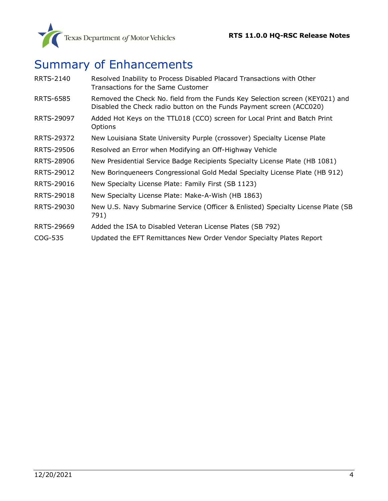

# <span id="page-3-0"></span>Summary of Enhancements

| <b>RRTS-2140</b> | Resolved Inability to Process Disabled Placard Transactions with Other<br>Transactions for the Same Customer                                         |
|------------------|------------------------------------------------------------------------------------------------------------------------------------------------------|
| <b>RRTS-6585</b> | Removed the Check No. field from the Funds Key Selection screen (KEY021) and<br>Disabled the Check radio button on the Funds Payment screen (ACC020) |
| RRTS-29097       | Added Hot Keys on the TTL018 (CCO) screen for Local Print and Batch Print<br>Options                                                                 |
| RRTS-29372       | New Louisiana State University Purple (crossover) Specialty License Plate                                                                            |
| RRTS-29506       | Resolved an Error when Modifying an Off-Highway Vehicle                                                                                              |
| RRTS-28906       | New Presidential Service Badge Recipients Specialty License Plate (HB 1081)                                                                          |
| RRTS-29012       | New Borinqueneers Congressional Gold Medal Specialty License Plate (HB 912)                                                                          |
| RRTS-29016       | New Specialty License Plate: Family First (SB 1123)                                                                                                  |
| RRTS-29018       | New Specialty License Plate: Make-A-Wish (HB 1863)                                                                                                   |
| RRTS-29030       | New U.S. Navy Submarine Service (Officer & Enlisted) Specialty License Plate (SB<br>791)                                                             |
| RRTS-29669       | Added the ISA to Disabled Veteran License Plates (SB 792)                                                                                            |
| COG-535          | Updated the EFT Remittances New Order Vendor Specialty Plates Report                                                                                 |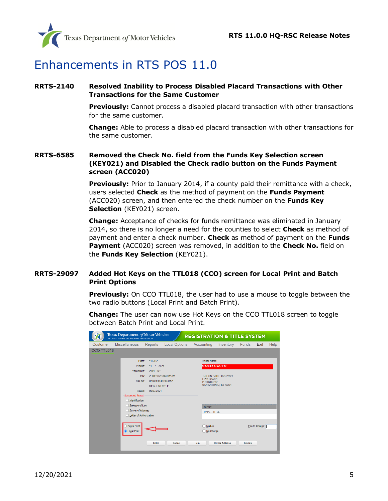

### <span id="page-4-0"></span>Enhancements in RTS POS 11.0

#### <span id="page-4-1"></span>**[RRTS-2140](https://jira.txdmv.gov/browse/RRTS-2140) Resolved Inability to Process Disabled Placard Transactions with Other Transactions for the Same Customer**

**Previously:** Cannot process a disabled placard transaction with other transactions for the same customer.

**Change:** Able to process a disabled placard transaction with other transactions for the same customer.

#### <span id="page-4-2"></span>**RRTS-6585 Removed the Check No. field from the Funds Key Selection screen (KEY021) and Disabled the Check radio button on the Funds Payment screen (ACC020)**

**Previously:** Prior to January 2014, if a county paid their remittance with a check, users selected **Check** as the method of payment on the **Funds Payment** (ACC020) screen, and then entered the check number on the **Funds Key Selection** (KEY021) screen.

**Change:** Acceptance of checks for funds remittance was eliminated in January 2014, so there is no longer a need for the counties to select **Check** as method of payment and enter a check number. **Check** as method of payment on the **Funds Payment** (ACC020) screen was removed, in addition to the **Check No.** field on the **Funds Key Selection** (KEY021).

#### <span id="page-4-3"></span>**RRTS-29097 Added Hot Keys on the TTL018 (CCO) screen for Local Print and Batch Print Options**

**Previously:** On CCO TTL018, the user had to use a mouse to toggle between the two radio buttons (Local Print and Batch Print).

**Change:** The user can now use Hot Keys on the CCO TTL018 screen to toggle between Batch Print and Local Print.

|                   | Texas Department of Motor Vehicles<br>HELPING TEXANS GO. HELPING TEXAS GROW. |                                                         |                      | <b>REGISTRATION &amp; TITLE SYSTEM</b> |                                                    |               |                |      |
|-------------------|------------------------------------------------------------------------------|---------------------------------------------------------|----------------------|----------------------------------------|----------------------------------------------------|---------------|----------------|------|
| Customer          | <b>Miscellaneous</b>                                                         | Reports                                                 | <b>Local Options</b> | Accounting                             | Inventory                                          | Funds         | Exit           | Help |
| <b>CCO TTL018</b> |                                                                              |                                                         |                      |                                        |                                                    |               |                |      |
|                   | Plate:                                                                       | 11LJD <sub>2</sub>                                      |                      | Owner Name:                            |                                                    |               |                |      |
|                   | Expires:<br>Year/Make:                                                       | 2021<br>11 <sub>1</sub><br>2001 INTL                    |                      | <b>AFASDFA AFASDFAF</b>                |                                                    |               |                |      |
|                   | VIN:<br>Doc No:<br>Issued:                                                   | 07782944437094752<br><b>REGULAR TITLE</b><br>09/07/2021 | 2HSFBG2RXKC011311    | <b>LIZ'S LOANS</b><br>P O BOX 782      | 1st LIEN DATE: 08/31/2021<br>SAN ANTONIO, TX 78231 |               |                |      |
|                   | <b>Suspected Fraud:</b><br>Identification                                    |                                                         |                      |                                        |                                                    |               |                |      |
|                   | Release of Lien                                                              |                                                         |                      | <b>DIESEL</b>                          |                                                    |               |                |      |
|                   | Power of Attorney                                                            |                                                         |                      | <b>PAPER TITLE</b>                     |                                                    |               |                |      |
|                   | Letter of Authorization                                                      |                                                         |                      |                                        |                                                    |               |                |      |
|                   | <b>Batch Print</b><br>C Local Print                                          |                                                         |                      | Mail-In<br>No Charge                   |                                                    |               | Fee to Charge: |      |
|                   |                                                                              | Enter                                                   | Cancel               | Help                                   | <b>Owner Address</b>                               | <b>Brands</b> |                |      |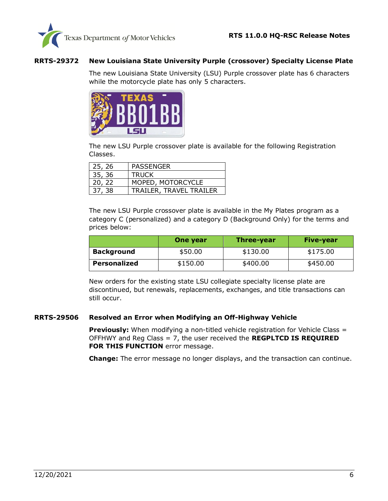

#### <span id="page-5-0"></span>**RRTS-29372 New Louisiana State University Purple (crossover) Specialty License Plate**

The new Louisiana State University (LSU) Purple crossover plate has 6 characters while the motorcycle plate has only 5 characters.



The new LSU Purple crossover plate is available for the following Registration Classes.

| 25, 26 | <b>PASSENGER</b>               |
|--------|--------------------------------|
| 35, 36 | <b>TRUCK</b>                   |
| 20, 22 | MOPED, MOTORCYCLE              |
| 37, 38 | <b>TRAILER, TRAVEL TRAILER</b> |

The new LSU Purple crossover plate is available in the My Plates program as a category C (personalized) and a category D (Background Only) for the terms and prices below:

|                   | One year | <b>Three-year</b> | Five-year |
|-------------------|----------|-------------------|-----------|
| <b>Background</b> | \$50.00  | \$130.00          | \$175.00  |
| Personalized      | \$150.00 | \$400.00          | \$450.00  |

New orders for the existing state LSU collegiate specialty license plate are discontinued, but renewals, replacements, exchanges, and title transactions can still occur.

#### <span id="page-5-1"></span>**[RRTS-29506](https://jira.txdmv.gov/browse/RRTS-29506) Resolved an Error when Modifying an Off-Highway Vehicle**

**Previously:** When modifying a non-titled vehicle registration for Vehicle Class = OFFHWY and Reg Class = 7, the user received the **REGPLTCD IS REQUIRED FOR THIS FUNCTION** error message.

**Change:** The error message no longer displays, and the transaction can continue.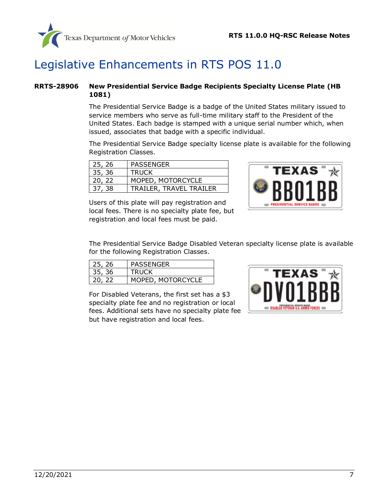

### <span id="page-6-0"></span>Legislative Enhancements in RTS POS 11.0

#### <span id="page-6-1"></span>**RRTS-28906 New Presidential Service Badge Recipients Specialty License Plate (HB 1081)**

The Presidential Service Badge is a badge of the United States military issued to service members who serve as full-time military staff to the President of the United States. Each badge is stamped with a unique serial number which, when issued, associates that badge with a specific individual.

The Presidential Service Badge specialty license plate is available for the following Registration Classes.

| 25, 26 | PASSENGER               |
|--------|-------------------------|
| 35, 36 | <b>TRUCK</b>            |
| 20, 22 | MOPED, MOTORCYCLE       |
| 37, 38 | TRAILER, TRAVEL TRAILER |

Users of this plate will pay registration and local fees. There is no specialty plate fee, but registration and local fees must be paid.



The Presidential Service Badge Disabled Veteran specialty license plate is available for the following Registration Classes.

| 25, 26 | <b>PASSENGER</b>  |
|--------|-------------------|
| 35, 36 | <b>TRUCK</b>      |
| 20, 22 | MOPED, MOTORCYCLE |

For Disabled Veterans, the first set has a \$3 specialty plate fee and no registration or local fees. Additional sets have no specialty plate fee but have registration and local fees.

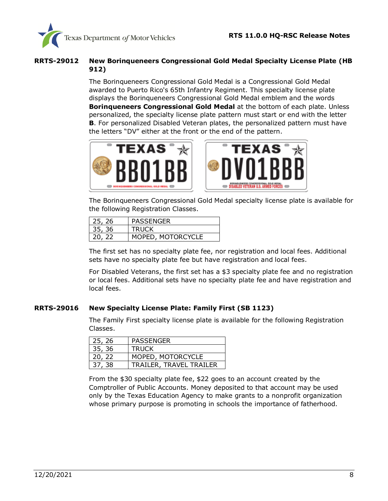

#### <span id="page-7-0"></span>**RRTS-29012 New Borinqueneers Congressional Gold Medal Specialty License Plate (HB 912)**

The Borinqueneers Congressional Gold Medal is a Congressional Gold Medal awarded to Puerto Rico's 65th Infantry Regiment. This specialty license plate displays the Borinqueneers Congressional Gold Medal emblem and the words **Borinqueneers Congressional Gold Medal** at the bottom of each plate. Unless personalized, the specialty license plate pattern must start or end with the letter **B**. For personalized Disabled Veteran plates, the personalized pattern must have the letters "DV" either at the front or the end of the pattern.





The Borinqueneers Congressional Gold Medal specialty license plate is available for the following Registration Classes.

| 25, 26 | PASSENGER         |
|--------|-------------------|
| 35, 36 | <b>TRUCK</b>      |
| 20, 22 | MOPED, MOTORCYCLE |

The first set has no specialty plate fee, nor registration and local fees. Additional sets have no specialty plate fee but have registration and local fees.

For Disabled Veterans, the first set has a \$3 specialty plate fee and no registration or local fees. Additional sets have no specialty plate fee and have registration and local fees.

#### <span id="page-7-1"></span>**[RRTS-29016](https://jira.txdmv.gov/browse/RRTS-29016) New Specialty License Plate: Family First (SB 1123)**

The Family First specialty license plate is available for the following Registration Classes.

| 25, 26 | <b>PASSENGER</b>        |
|--------|-------------------------|
| 35, 36 | <b>TRUCK</b>            |
| 20, 22 | MOPED, MOTORCYCLE       |
| 37, 38 | TRAILER, TRAVEL TRAILER |

From the \$30 specialty plate fee, \$22 goes to an account created by the Comptroller of Public Accounts. Money deposited to that account may be used only by the Texas Education Agency to make grants to a nonprofit organization whose primary purpose is promoting in schools the importance of fatherhood.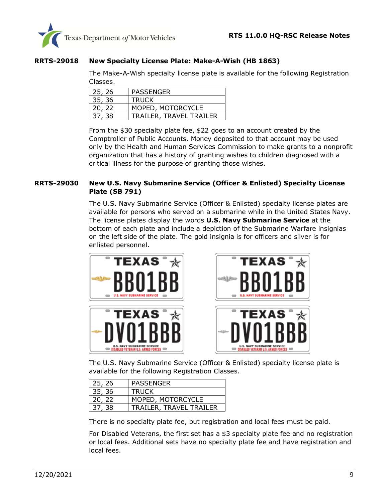

#### <span id="page-8-0"></span>**[RRTS-29018](https://jira.txdmv.gov/browse/RRTS-29018) New Specialty License Plate: Make-A-Wish (HB 1863)**

The Make-A-Wish specialty license plate is available for the following Registration Classes.

| 25, 26 | <b>PASSENGER</b>        |
|--------|-------------------------|
| 35, 36 | TRUCK                   |
| 20, 22 | MOPED, MOTORCYCLE       |
| 37, 38 | TRAILER, TRAVEL TRAILER |

From the \$30 specialty plate fee, \$22 goes to an account created by the Comptroller of Public Accounts. Money deposited to that account may be used only by the Health and Human Services Commission to make grants to a nonprofit organization that has a history of granting wishes to children diagnosed with a critical illness for the purpose of granting those wishes.

#### <span id="page-8-1"></span>**[RRTS-29030](https://jira.txdmv.gov/browse/RRTS-29030) New U.S. Navy Submarine Service (Officer & Enlisted) Specialty License Plate (SB 791)**

The U.S. Navy Submarine Service (Officer & Enlisted) specialty license plates are available for persons who served on a submarine while in the United States Navy. The license plates display the words **U.S. Navy Submarine Service** at the bottom of each plate and include a depiction of the Submarine Warfare insignias on the left side of the plate. The gold insignia is for officers and silver is for enlisted personnel.





The U.S. Navy Submarine Service (Officer & Enlisted) specialty license plate is available for the following Registration Classes.

| 25, 26 | <b>PASSENGER</b>        |
|--------|-------------------------|
| 35, 36 | <b>TRUCK</b>            |
| 20, 22 | MOPED, MOTORCYCLE       |
| 37, 38 | TRAILER, TRAVEL TRAILER |

There is no specialty plate fee, but registration and local fees must be paid.

For Disabled Veterans, the first set has a \$3 specialty plate fee and no registration or local fees. Additional sets have no specialty plate fee and have registration and local fees.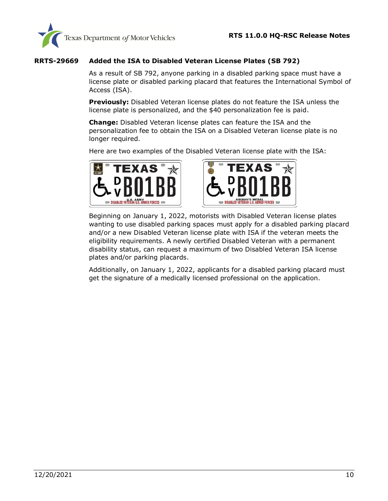

#### <span id="page-9-0"></span>**[RRTS-29669](https://jira.txdmv.gov/browse/RRTS-29669) Added the ISA to Disabled Veteran License Plates (SB 792)**

As a result of SB 792, anyone parking in a disabled parking space must have a license plate or disabled parking placard that features the International Symbol of Access (ISA).

**Previously:** Disabled Veteran license plates do not feature the ISA unless the license plate is personalized, and the \$40 personalization fee is paid.

**Change:** Disabled Veteran license plates can feature the ISA and the personalization fee to obtain the ISA on a Disabled Veteran license plate is no longer required.

Here are two examples of the Disabled Veteran license plate with the ISA:





Beginning on January 1, 2022, motorists with Disabled Veteran license plates wanting to use disabled parking spaces must apply for a disabled parking placard and/or a new Disabled Veteran license plate with ISA if the veteran meets the eligibility requirements. A newly certified Disabled Veteran with a permanent disability status, can request a maximum of two Disabled Veteran ISA license plates and/or parking placards.

Additionally, on January 1, 2022, applicants for a disabled parking placard must get the signature of a medically licensed professional on the application.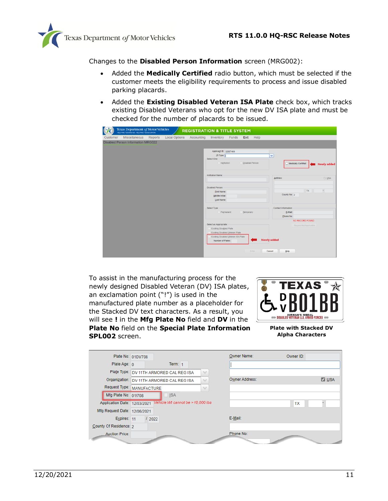

Changes to the **Disabled Person Information** screen (MRG002):

- Added the **Medically Certified** radio button, which must be selected if the customer meets the eligibility requirements to process and issue disabled parking placards.
- Added the **Existing Disabled Veteran ISA Plate** check box, which tracks existing Disabled Veterans who opt for the new DV ISA plate and must be checked for the number of placards to be issued.

|          | Texas Department of Motor Vehicles<br>HELPING TEXANS GO. HELPING TEXAS GROW. |         |                      | <b>REGISTRATION &amp; TITLE SYSTEM</b> |                                                                                                                                                                         |                                                                        |                  |       |                              |                                              |                                          |                                     |
|----------|------------------------------------------------------------------------------|---------|----------------------|----------------------------------------|-------------------------------------------------------------------------------------------------------------------------------------------------------------------------|------------------------------------------------------------------------|------------------|-------|------------------------------|----------------------------------------------|------------------------------------------|-------------------------------------|
| Customer | <b>Miscellaneous</b>                                                         | Reports | <b>Local Options</b> | Accounting                             | Inventory Funds                                                                                                                                                         |                                                                        | Exit             | Help  |                              |                                              |                                          |                                     |
|          | <b>Disabled Person Information MRG022</b>                                    |         |                      |                                        |                                                                                                                                                                         |                                                                        |                  |       |                              |                                              |                                          |                                     |
|          |                                                                              |         |                      |                                        | Applicant ID: 32587400<br>ID Type:<br>Select One:<br>Institution<br>Institution Name:<br><b>Disabled Person:</b><br><b>Eirst Name:</b><br>Middle Initial:<br>Last Name: |                                                                        | Disabled Person  |       | v                            | Address:<br>County No: 2                     | Medically Certified<br>TX                | <b>Newly added</b><br>$U$ USA<br>÷. |
|          |                                                                              |         |                      |                                        | Select Type:<br>Permanent                                                                                                                                               |                                                                        | <b>Temporary</b> |       |                              | Contact Information:<br>E-Mail:<br>Phone No: |                                          |                                     |
|          |                                                                              |         |                      |                                        | Select as Appropriate:<br><b>Existing Disabled Plate</b><br>Number of Plates:                                                                                           | Existing Disabled Veteran Plate<br>Existing Disabled Veteran ISA Plate |                  | Enter | <b>Newly added</b><br>Cancel | Help                                         | NO RECORD FOUND<br>Record Not Applicable |                                     |

To assist in the manufacturing process for the newly designed Disabled Veteran (DV) ISA plates, an exclamation point ("!") is used in the manufactured plate number as a placeholder for the Stacked DV text characters. As a result, you will see **!** in the **Mfg Plate No** field and **DV** in the **Plate No** field on the **Special Plate Information SPL002** screen.



**Plate with Stacked DV Alpha Characters**

|                              | Plate No: 01DV708                           | Owner Name:                    | Owner ID:           |
|------------------------------|---------------------------------------------|--------------------------------|---------------------|
| Plate Age: 0                 | Term: $1$                                   |                                |                     |
|                              | Plate Type: DV 11TH ARMORED CAL REG ISA     | $\checkmark$                   |                     |
|                              | Organization:   DV 11TH ARMORED CAL REG ISA | Owner Address:<br>$\checkmark$ | $\triangledown$ USA |
|                              | Request Type: MANUFACTURE                   | $\checkmark$                   |                     |
| Mfg Plate No: 01!708         | <b>ISA</b>                                  |                                |                     |
| Application Date: 12/03/2021 | Vehicle Wt cannot be >18,000 lbs            |                                | <b>TX</b>           |
| Mfg Request Date: 12/06/2021 |                                             |                                |                     |
| Expires: 11                  | 12022                                       | E-Mail:                        |                     |
| County Of Residence: 2       |                                             |                                |                     |
| <b>Auction Price:</b>        |                                             | Phone No:                      |                     |
|                              |                                             |                                |                     |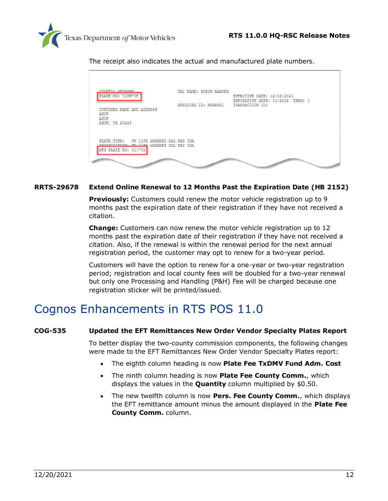

The receipt also indicates the actual and manufactured plate numbers.

| COUNTY, ANDERSE<br>PLATE NO: 01DV708                                                                        | TAC NAME: ROBIN HARPER | EFFECTIVE DATE: 12/03/2021<br>EXPIRATION DATE: 11/2022 TERM: 1 |
|-------------------------------------------------------------------------------------------------------------|------------------------|----------------------------------------------------------------|
| CUSTOMER NAME AND ADDRESS<br>ASDF<br>ASDF<br>ASDF, TX 23423                                                 | EMPLOYEE ID: KHARREL   | TRANSACTION ID:                                                |
| PLATE TYPE: DV 11TH ARMORED CAL REG ISA<br>OPCANIZATION BY 11TH ARMORED CAL REG ISA<br>MFG PLATE NO: 01!708 |                        |                                                                |
|                                                                                                             |                        |                                                                |

#### **[RRTS-29678](https://jira.txdmv.gov/browse/RRTS-29678) Extend Online Renewal to 12 Months Past the Expiration Date (HB 2152)**

**Previously:** Customers could renew the motor vehicle registration up to 9 months past the expiration date of their registration if they have not received a citation.

**Change:** Customers can now renew the motor vehicle registration up to 12 months past the expiration date of their registration if they have not received a citation. Also, if the renewal is within the renewal period for the next annual registration period, the customer may opt to renew for a two-year period.

Customers will have the option to renew for a one-year or two-year registration period; registration and local county fees will be doubled for a two-year renewal but only one Processing and Handling (P&H) Fee will be charged because one registration sticker will be printed/issued.

### <span id="page-11-0"></span>Cognos Enhancements in RTS POS 11.0

#### <span id="page-11-1"></span>**[COG-535](https://jira.txdmv.gov/browse/COG-535) Updated the EFT Remittances New Order Vendor Specialty Plates Report**

To better display the two-county commission components, the following changes were made to the EFT Remittances New Order Vendor Specialty Plates report:

- The eighth column heading is now **Plate Fee TxDMV Fund Adm. Cost**
- The ninth column heading is now **Plate Fee County Comm.**, which displays the values in the **Quantity** column multiplied by \$0.50.
- The new twelfth column is now **Pers. Fee County Comm.**, which displays the EFT remittance amount minus the amount displayed in the **Plate Fee County Comm.** column.